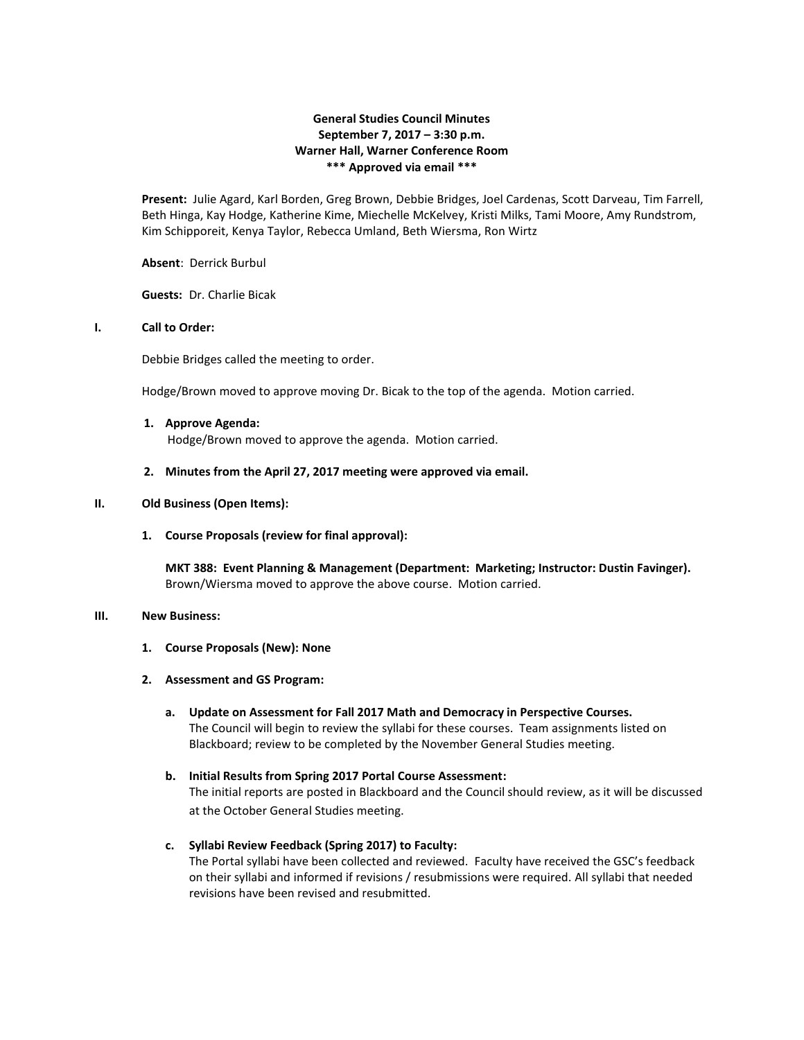# **General Studies Council Minutes September 7, 2017 – 3:30 p.m. Warner Hall, Warner Conference Room \*\*\* Approved via email \*\*\***

**Present:** Julie Agard, Karl Borden, Greg Brown, Debbie Bridges, Joel Cardenas, Scott Darveau, Tim Farrell, Beth Hinga, Kay Hodge, Katherine Kime, Miechelle McKelvey, Kristi Milks, Tami Moore, Amy Rundstrom, Kim Schipporeit, Kenya Taylor, Rebecca Umland, Beth Wiersma, Ron Wirtz

### **Absent**: Derrick Burbul

**Guests:** Dr. Charlie Bicak

## **I. Call to Order:**

Debbie Bridges called the meeting to order.

Hodge/Brown moved to approve moving Dr. Bicak to the top of the agenda. Motion carried.

- **1. Approve Agenda:** Hodge/Brown moved to approve the agenda. Motion carried.
- **2. Minutes from the April 27, 2017 meeting were approved via email.**

## **II. Old Business (Open Items):**

### **1. Course Proposals (review for final approval):**

**MKT 388: Event Planning & Management (Department: Marketing; Instructor: Dustin Favinger).** Brown/Wiersma moved to approve the above course. Motion carried.

### **III. New Business:**

- **1. Course Proposals (New): None**
- **2. Assessment and GS Program:**
	- **a. Update on Assessment for Fall 2017 Math and Democracy in Perspective Courses.** The Council will begin to review the syllabi for these courses. Team assignments listed on Blackboard; review to be completed by the November General Studies meeting.
	- **b. Initial Results from Spring 2017 Portal Course Assessment:** The initial reports are posted in Blackboard and the Council should review, as it will be discussed at the October General Studies meeting.
	- **c. Syllabi Review Feedback (Spring 2017) to Faculty:** The Portal syllabi have been collected and reviewed. Faculty have received the GSC's feedback on their syllabi and informed if revisions / resubmissions were required. All syllabi that needed revisions have been revised and resubmitted.